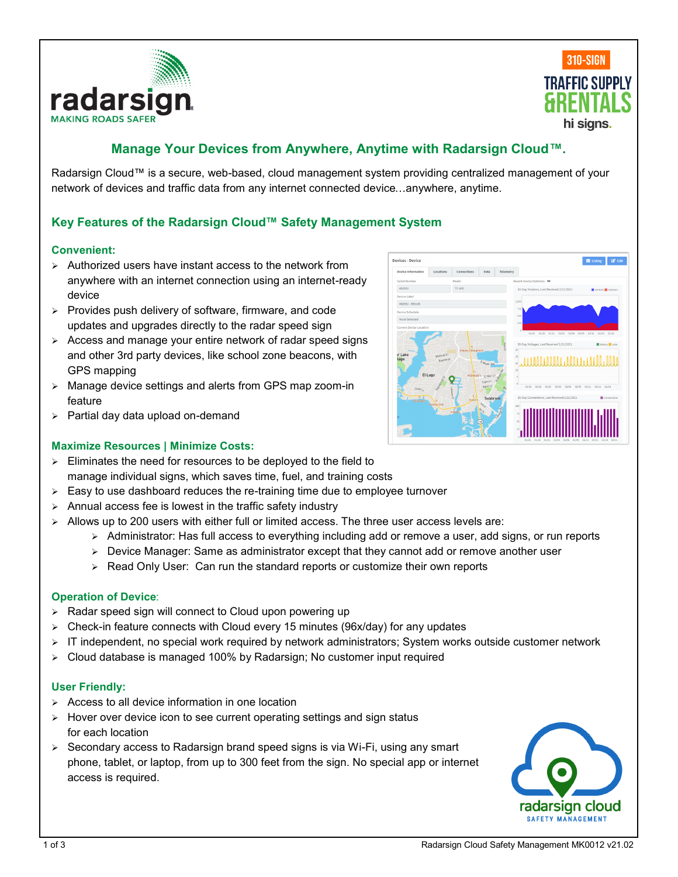



# **Manage Your Devices from Anywhere, Anytime with Radarsign Cloud™.**

**Devices - Devio** 

Radarsign Cloud™ is a secure, web-based, cloud management system providing centralized management of your network of devices and traffic data from any internet connected device…anywhere, anytime.

## **Key Features of the Radarsign Cloud™ Safety Management System**

#### **Convenient:**

- ➢ Authorized users have instant access to the network from anywhere with an internet connection using an internet-ready device
- ➢ Provides push delivery of software, firmware, and code updates and upgrades directly to the radar speed sign
- ➢ Access and manage your entire network of radar speed signs and other 3rd party devices, like school zone beacons, with GPS mapping
- ➢ Manage device settings and alerts from GPS map zoom-in feature
- ➢ Partial day data upload on-demand

## **Maximize Resources | Minimize Costs:**



- $\triangleright$  Easy to use dashboard reduces the re-training time due to employee turnover
- $\triangleright$  Annual access fee is lowest in the traffic safety industry
- $\triangleright$  Allows up to 200 users with either full or limited access. The three user access levels are:
	- ➢ Administrator: Has full access to everything including add or remove a user, add signs, or run reports
	- ➢ Device Manager: Same as administrator except that they cannot add or remove another user
	- ➢ Read Only User: Can run the standard reports or customize their own reports

#### **Operation of Device**:

- ➢ Radar speed sign will connect to Cloud upon powering up
- ➢ Check-in feature connects with Cloud every 15 minutes (96x/day) for any updates
- ➢ IT independent, no special work required by network administrators; System works outside customer network
- ➢ Cloud database is managed 100% by Radarsign; No customer input required

#### **User Friendly:**

- $\triangleright$  Access to all device information in one location
- ➢ Hover over device icon to see current operating settings and sign status for each location
- $\geq$  Secondary access to Radarsign brand speed signs is via Wi-Fi, using any smart phone, tablet, or laptop, from up to 300 feet from the sign. No special app or internet access is required.

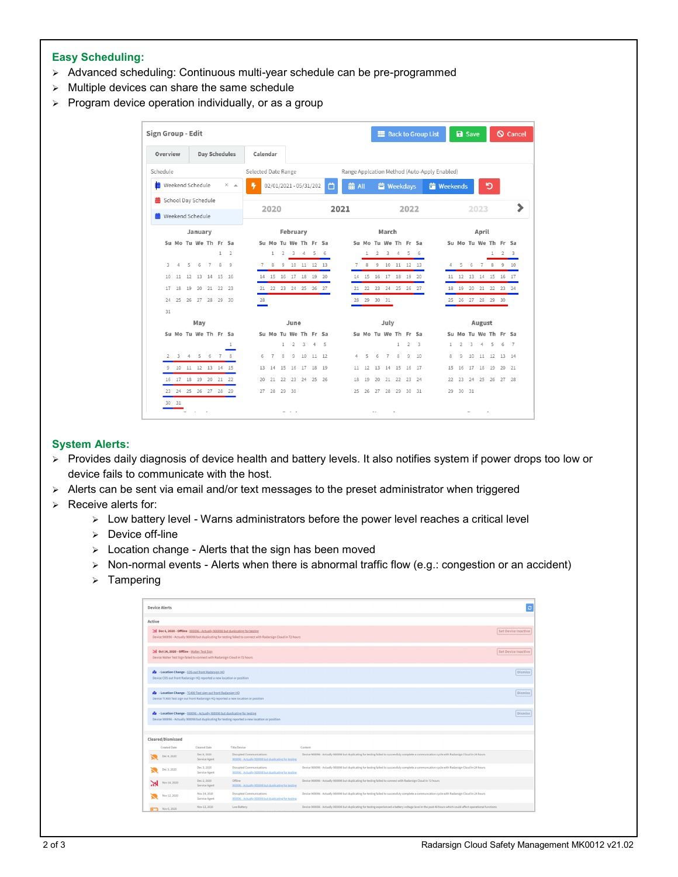#### **Easy Scheduling:**

- ➢ Advanced scheduling: Continuous multi-year schedule can be pre-programmed
- $\triangleright$  Multiple devices can share the same schedule
- ➢ Program device operation individually, or as a group

| Sign Group - Edit         |                         |   |         |                                  |              |                      |                     |                                  |                |                |             |       |     |      |                |                                  |                |                   |              |                |     | <b>Back to Group List</b>                    |              |                | <b>a</b> Save |                                  |    |       | <b>Q</b> Cancel |
|---------------------------|-------------------------|---|---------|----------------------------------|--------------|----------------------|---------------------|----------------------------------|----------------|----------------|-------------|-------|-----|------|----------------|----------------------------------|----------------|-------------------|--------------|----------------|-----|----------------------------------------------|--------------|----------------|---------------|----------------------------------|----|-------|-----------------|
| Overview                  |                         |   |         |                                  |              | <b>Day Schedules</b> | Calendar            |                                  |                |                |             |       |     |      |                |                                  |                |                   |              |                |     |                                              |              |                |               |                                  |    |       |                 |
| Schedule                  |                         |   |         |                                  |              |                      | Selected Date Range |                                  |                |                |             |       |     |      |                |                                  |                |                   |              |                |     | Range Applcation Method (Auto-Apply Enabled) |              |                |               |                                  |    |       |                 |
| <b>前</b> Weekend Schedule |                         |   |         |                                  |              | $\times$ $\Delta$    | ٠                   | $02/01/2021 - 05/31/202$         |                |                |             |       |     | ₿    | 前 All          |                                  |                | <b>首</b> Weekdays |              |                |     | <b>in</b> Weekends                           |              |                |               |                                  | פ  |       |                 |
| ochool Day Schedule       |                         |   |         |                                  |              |                      |                     |                                  |                |                |             |       |     |      |                |                                  |                |                   |              |                |     |                                              |              |                |               |                                  |    |       |                 |
| <b>前</b> Weekend Schedule |                         |   |         |                                  |              |                      |                     | 2020                             |                |                |             |       |     | 2021 |                |                                  |                |                   |              | 2022           |     |                                              |              |                |               | 2023                             |    |       |                 |
|                           |                         |   | January |                                  |              |                      |                     |                                  |                | February       |             |       |     |      |                |                                  |                | March             |              |                |     |                                              |              |                |               | April                            |    |       |                 |
|                           |                         |   |         | Su Mo Tu We Th Fr Sa             |              |                      |                     | Su Mo Tu We Th Fr Sa             |                |                |             |       |     |      |                | Su Mo Tu We Th Fr Sa             |                |                   |              |                |     |                                              |              |                |               | Su Mo Tu We Th Fr Sa             |    |       |                 |
|                           |                         |   |         |                                  | $\mathbf{1}$ | $\mathcal{I}$        |                     | 1                                | $\overline{2}$ |                | $3 \quad 4$ |       | 5 6 |      |                | 1                                | $\overline{2}$ |                   | $3 \quad 4$  |                | 5 6 |                                              |              |                |               |                                  | 1. | 2 3   |                 |
| 3                         | 4                       | 5 | 6       | $\overline{7}$                   | 8            | $\overline{9}$       | $\overline{7}$      | 8                                |                | 9 10 11 12 13  |             |       |     |      | $\overline{7}$ | 8                                |                | 9 10 11 12 13     |              |                |     |                                              | 4            | 5              | 6             | 7 8 9 10                         |    |       |                 |
| 10                        | 11                      |   |         | 12  13  14                       | 15           | 16                   |                     | 14   15   16   17   18   19   20 |                |                |             |       |     |      |                | 14   15   16   17   18   19   20 |                |                   |              |                |     |                                              |              |                |               | 11   12   13   14   15   16   17 |    |       |                 |
| 17                        | 18                      |   |         | 19 20 21 22 23                   |              |                      |                     | 21 22 23 24 25 26 27             |                |                |             |       |     |      |                | 21 22 23 24 25 26 27             |                |                   |              |                |     |                                              |              |                |               | 18  19  20  21  22  23  24       |    |       |                 |
| 24                        |                         |   |         | 25    26    27    28    29    30 |              |                      | 28                  |                                  |                |                |             |       |     |      |                | 28 29 30 31                      |                |                   |              |                |     |                                              |              |                |               | 25  26  27  28  29  30           |    |       |                 |
| 31                        |                         |   |         |                                  |              |                      |                     |                                  |                |                |             |       |     |      |                |                                  |                |                   |              |                |     |                                              |              |                |               |                                  |    |       |                 |
|                           |                         |   | May     |                                  |              |                      |                     |                                  |                | June           |             |       |     |      |                |                                  |                | July              |              |                |     |                                              |              |                |               | August                           |    |       |                 |
|                           |                         |   |         | Su Mo Tu We Th Fr Sa             |              |                      |                     | Su Mo Tu We Th Fr Sa             |                |                |             |       |     |      |                | Su Mo Tu We Th Fr Sa             |                |                   |              |                |     |                                              |              |                |               | Su Mo Tu We Th Fr Sa             |    |       |                 |
|                           |                         |   |         |                                  |              | 1                    |                     |                                  | $\mathbf{1}$   | $\overline{2}$ | 3           | 4     | 5   |      |                |                                  |                |                   | $\mathbf{1}$ | $\overline{2}$ | 3   |                                              | $\mathbf{1}$ | $\overline{2}$ | 3             | 4                                | 5  | 6     | $\overline{7}$  |
| $\mathcal{D}$             | $\overline{\mathbf{3}}$ |   |         | 4 5 6 7 8                        |              |                      | 6                   | $\overline{7}$                   | 8              | 9              | 10          | 11 12 |     |      | 4              | 5                                | 6              | $\overline{7}$    | 8            | $\overline{9}$ | 10  |                                              | 8            | Q              | 10            | 11                               | 12 | 13 14 |                 |
|                           |                         |   |         | 9 10 11 12 13 14 15              |              |                      | 13                  | 14                               | 15             | 16             | 17          | 18 19 |     |      | 11             | 12                               | 13             | 14                | 15           | 16             | 17  |                                              | 15           | 16             | 17            | 18                               | 19 | 20 21 |                 |
|                           |                         |   |         | 16 17 18 19 20 21 22             |              |                      | 20                  | 21                               | 22             |                | 23 24 25 26 |       |     |      | 18             | 19                               | 20             | 21                | 22           | 23             | 24  |                                              | 22           | 23             | 24            | 25 26                            |    | 27 28 |                 |
|                           |                         |   |         | 23 24 25 26 27 28 29             |              |                      |                     | 27 28 29 30                      |                |                |             |       |     |      |                | 25  26  27  28  29  30  31       |                |                   |              |                |     |                                              | 29           | 30 31          |               |                                  |    |       |                 |
|                           | 30 31                   |   |         |                                  |              |                      |                     |                                  |                | - - -          |             |       |     |      |                |                                  | $\sim$ -       |                   |              |                |     |                                              |              |                |               |                                  |    |       |                 |

#### **System Alerts:**

- ➢ Provides daily diagnosis of device health and battery levels. It also notifies system if power drops too low or device fails to communicate with the host.
- ➢ Alerts can be sent via email and/or text messages to the preset administrator when triggered
- ➢ Receive alerts for:
	- ➢ Low battery level Warns administrators before the power level reaches a critical level
	- ➢ Device off-line
	- ➢ Location change Alerts that the sign has been moved
	- ➢ Non-normal events Alerts when there is abnormal traffic flow (e.g.: congestion or an accident)
	- ➢ Tampering

|                                             |                                                                                                                                   |                                                                                                                |                                                                                                                                                  | $\mathbf{c}$               |
|---------------------------------------------|-----------------------------------------------------------------------------------------------------------------------------------|----------------------------------------------------------------------------------------------------------------|--------------------------------------------------------------------------------------------------------------------------------------------------|----------------------------|
| Active                                      |                                                                                                                                   |                                                                                                                |                                                                                                                                                  |                            |
|                                             | N Dec 6, 2020 - Offline - 900096 - Actually 900098 but duplicating for testing                                                    | Device 900096 - Actually 900098 but duplicating for testing failed to connect with Radarsign Cloud in 72 hours |                                                                                                                                                  | Set Device Inactive        |
| N Oct 24, 2020 - Offline - Walter Test Sign | Device Walter Test Sign failed to connect with Radarsign Cloud in 72 hours                                                        |                                                                                                                |                                                                                                                                                  | <b>Set Device Inactive</b> |
|                                             | <b>12 - Location Change - COS out front Radarsign HQ</b><br>Device COS out front Radarsign HQ reported a new location or position |                                                                                                                |                                                                                                                                                  | Dismiss                    |
|                                             | <b>Re</b> - Location Change - TC400 Test sign out front Radarsign HO                                                              | Device TC400 Test sign out front Radarsign HQ reported a new location or position                              |                                                                                                                                                  | <b>Dismiss</b>             |
|                                             |                                                                                                                                   |                                                                                                                |                                                                                                                                                  |                            |
|                                             | £8 - Location Change - 900096 - Actually 900098 but duplicating for testing                                                       | Device 900096 - Actually 900098 but duplicating for testing reported a new location or position                |                                                                                                                                                  |                            |
| Cleared/Dismissed                           |                                                                                                                                   |                                                                                                                |                                                                                                                                                  | Dismiss                    |
| Created Date                                | Cleared Date                                                                                                                      | Title/Device                                                                                                   | Content                                                                                                                                          |                            |
| Dec 4, 2020                                 | Dec 6, 2020<br>Service Agent                                                                                                      | Disrupted Communications<br>900096 - Actually 900098 but duplicating for testing                               | Device 900096 - Actually 900098 but duplicating for testing failed to successfuly complete a communcation cycle with Radarsign Cloud in 24 hours |                            |
| Dec 3, 2020                                 | Dec 3, 2020<br>Service Agent                                                                                                      | Disrupted Communications<br>900096 - Actually 900098 but duplicating for testing                               | Device 900096 - Actually 900098 but duplicating for testing failed to successfuly complete a communcation cycle with Radarsign Cloud in 24 hours |                            |
| Nov 14, 2020                                | Dec 2, 2020<br>Service Agent                                                                                                      | Offline<br>900096 - Actually 900098 but duplicating for testing                                                | Device 900096 - Actually 900098 but duplicating for testing failed to connect with Radarsign Cloud in 72 hours                                   |                            |
| Nov 12, 2020                                | Nov 14, 2020<br>Service Agent                                                                                                     | Disrupted Communications<br>900096 - Actually 900098 but duplicating for testing                               | Device 900096 - Actually 900098 but duplicating for testing failed to successfuly complete a communcation cycle with Radarsign Cloud in 24 hours |                            |